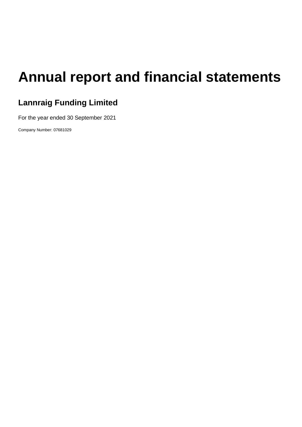# **Annual report and financial statements**

# **Lannraig Funding Limited**

For the year ended 30 September 2021

Company Number: 07681029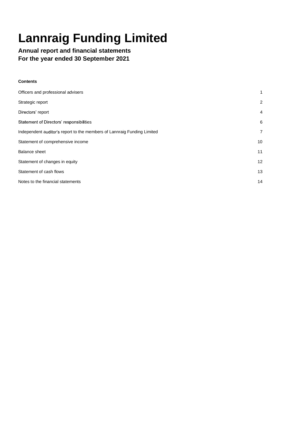# **Lannraig Funding Limited**

# **Annual report and financial statements For the year ended 30 September 2021**

### **Contents**

| Officers and professional advisers                                      | 1               |
|-------------------------------------------------------------------------|-----------------|
| Strategic report                                                        | 2               |
| Directors' report                                                       | 4               |
| Statement of Directors' responsibilities                                | 6               |
| Independent auditor's report to the members of Lannraig Funding Limited | 7               |
| Statement of comprehensive income                                       | 10              |
| <b>Balance sheet</b>                                                    | 11              |
| Statement of changes in equity                                          | 12 <sup>°</sup> |
| Statement of cash flows                                                 | 13              |
| Notes to the financial statements                                       | 14              |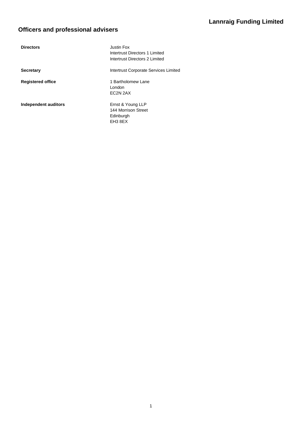# **Lannraig Funding Limited**

# **Officers and professional advisers**

| <b>Directors</b>         | <b>Justin Fox</b><br>Intertrust Directors 1 Limited<br>Intertrust Directors 2 Limited |
|--------------------------|---------------------------------------------------------------------------------------|
| <b>Secretary</b>         | Intertrust Corporate Services Limited                                                 |
| <b>Registered office</b> | 1 Bartholomew Lane<br>London<br>EC2N 2AX                                              |
| Independent auditors     | Ernst & Young LLP<br>144 Morrison Street<br>Edinburgh<br>EH3 8EX                      |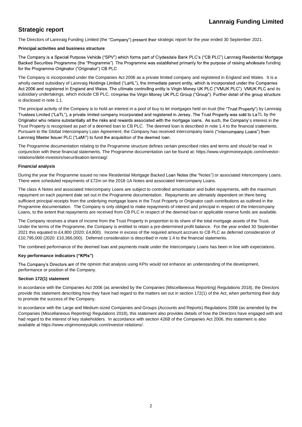# **Strategic report**

The Directors of Lannraig Funding Limited (the "Company") present their strategic report for the year ended 30 September 2021.

#### **Principal activities and business structure**

The Company is a Special Purpose Vehicle ("SPV") which forms part of Clydesdale Bank PLC's ("CB PLC") Lannraig Residential Mortgage Backed Securities Programme (the "Programme"). The Programme was established primarily for the purpose of raising wholesale funding for the Programme Originator ("Originator") CB PLC.

The Company is incorporated under the Companies Act 2006 as a private limited company and registered in England and Wales. It is a wholly owned subsidiary of Lannraig Holdings Limited ("LaHL"), the immediate parent entity, which is incorporated under the Companies Act 2006 and registered in England and Wales. The ultimate controlling entity is Virgin Money UK PLC ("VMUK PLC"). VMUK PLC and its subsidiary undertakings, which include CB PLC, comprise the Virgin Money UK PLC Group ("Group"). Further detail of the group structure is disclosed in note 1.1.

The principal activity of the Company is to hold an interest in a pool of buy to let mortgages held on trust (the "Trust Property") by Lannraig Trustees Limited ("LaTL"), a private limited company incorporated and registered in Jersey. The Trust Property was sold to LaTL by the Originator who retains substantially all the risks and rewards associated with the mortgage loans. As such, the Company's interest in the Trust Property is recognised as part of a deemed loan to CB PLC. The deemed loan is described in note 1.4 to the financial statements. Pursuant to the Global Intercompany Loan Agreement, the Company has received intercompany loans ("Intercompany Loans") from Lannraig Master Issuer PLC ("LaMI") to fund the acquisition of the deemed Joan.

The Programme documentation relating to the Programme structure defines certain prescribed roles and terms and should be read in conjunction with these financial statements. The Programme documentation can be found at: https://www.virginmoneyukplc.com/investorrelations/debt-investors/securitisation-lannraig/.

#### **Financial analysis**

During the year the Programme issued no new Residential Mortgage Backed Loan Notes (the "Notes") or associated Intercompany Loans. There were scheduled repayments of £72m on the 2018-1A Notes and associated Intercompany Loans.

The class A Notes and associated Intercompany Loans are subject to controlled amortisation and bullet repayments, with the maximum repayment on each payment date set out in the Programme documentation. Repayments are ultimately dependent on there being sufficient principal receipts from the underlying mortgage loans in the Trust Property or Originator cash contributions as outlined in the Programme documentation. The Company is only obliged to make repayments of interest and principal in respect of the Intercompany Loans, to the extent that repayments are received from CB PLC in respect of the deemed loan or applicable reserve funds are available.

The Company receives a share of income from the Trust Property in proportion to its share of the total mortgage assets of the Trust. Under the terms of the Programme, the Company is entitled to retain a pre-determined profit balance. For the year ended 30 September 2021 this equated to £4,800 (2020: £4,800). Income in excess of the required amount accrues to CB PLC as deferred consideration of £10,795,000 (2020: £10,366,000). Deferred consideration is described in note 1.4 to the financial statements.

The combined performance of the deemed loan and payments made under the Intercompany Loans has been in line with expectations.

#### **Key performance indicators**

The Company's Directors are of the opinion that analysis using KPIs would not enhance an understanding of the development, performance or position of the Company.

#### **Section 172(1) statement**

In accordance with the Companies Act 2006 (as amended by the Companies (Miscellaneous Reporting) Regulations 2018), the Directors provide this statement describing how they have had regard to the matters set out in section 172(1) of the Act, when performing their duty to promote the success of the Company.

In accordance with the Large and Medium-sized Companies and Groups (Accounts and Reports) Regulations 2008 (as amended by the Companies (Miscellaneous Reporting) Regulations 2018), this statement also provides details of how the Directors have engaged with and had regard to the interest of key stakeholders. In accordance with section 426B of the Companies Act 2006, this statement is also available at https://www.virginmoneyukplc.com/investor-relations/.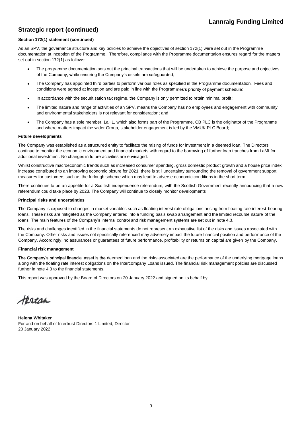# **Strategic report (continued)**

#### **Section 172(1) statement (continued)**

As an SPV, the governance structure and key policies to achieve the objectives of section 172(1) were set out in the Programme documentation at inception of the Programme. Therefore, compliance with the Programme documentation ensures regard for the matters set out in section 172(1) as follows:

- The programme documentation sets out the principal transactions that will be undertaken to achieve the purpose and objectives of the Company, while ensuring the Company's assets are safeguarded;
- The Company has appointed third parties to perform various roles as specified in the Programme documentation. Fees and conditions were agreed at inception and are paid in line with the Programmes's priority of payment schedule;
- In accordance with the securitisation tax regime, the Company is only permitted to retain minimal profit;
- The limited nature and range of activities of an SPV, means the Company has no employees and engagement with community and environmental stakeholders is not relevant for consideration; and
- The Company has a sole member, LaHL, which also forms part of the Programme. CB PLC is the originator of the Programme and where matters impact the wider Group, stakeholder engagement is led by the VMUK PLC Board;

#### **Future developments**

The Company was established as a structured entity to facilitate the raising of funds for investment in a deemed loan. The Directors continue to monitor the economic environment and financial markets with regard to the borrowing of further loan tranches from LaMI for additional investment. No changes in future activities are envisaged.

Whilst constructive macroeconomic trends such as increased consumer spending, gross domestic product growth and a house price index increase contributed to an improving economic picture for 2021, there is still uncertainty surrounding the removal of government support measures for customers such as the furlough scheme which may lead to adverse economic conditions in the short term.

There continues to be an appetite for a Scottish independence referendum, with the Scottish Government recently announcing that a new referendum could take place by 2023. The Company will continue to closely monitor developments

#### **Principal risks and uncertainties**

The Company is exposed to changes in market variables such as floating interest rate obligations arising from floating rate interest-bearing loans. These risks are mitigated as the Company entered into a funding basis swap arrangement and the limited recourse nature of the loans. The main features of the Company's internal control and risk management systems are set out in note 4.3.

The risks and challenges identified in the financial statements do not represent an exhaustive list of the risks and issues associated with the Company. Other risks and issues not specifically referenced may adversely impact the future financial position and performance of the Company. Accordingly, no assurances or guarantees of future performance, profitability or returns on capital are given by the Company.

#### **Financial risk management**

The Company's principal financial asset is the deemed loan and the risks associated are the performance of the underlying mortgage loans along with the floating rate interest obligations on the Intercompany Loans issued. The financial risk management policies are discussed further in note 4.3 to the financial statements.

This report was approved by the Board of Directors on 20 January 2022 and signed on its behalf by:

tertan

**Helena Whitaker** For and on behalf of Intertrust Directors 1 Limited, Director 20 January 2022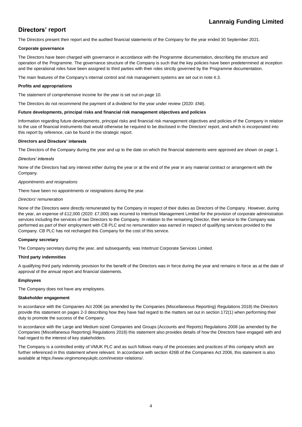# **Directors' report**

The Directors present their report and the audited financial statements of the Company for the year ended 30 September 2021.

#### **Corporate governance**

The Directors have been charged with governance in accordance with the Programme documentation, describing the structure and operation of the Programme. The governance structure of the Company is such that the key policies have been predetermined at inception and the operational roles have been assigned to third parties with their roles strictly governed by the Programme documentation.

The main features of the Company's internal control and risk management systems are set out in note 4.3.

#### **Profits and appropriations**

The statement of comprehensive income for the year is set out on page 10.

The Directors do not recommend the payment of a dividend for the year under review (2020: £Nil).

#### **Future developments, principal risks and financial risk management objectives and policies**

Information regarding future developments, principal risks and financial risk management objectives and policies of the Company in relation to the use of financial instruments that would otherwise be required to be disclosed in the Directors' report, and which is incorporated into this report by reference, can be found in the strategic report.

#### **Directors and Directors' interests**

The Directors of the Company during the year and up to the date on which the financial statements were approved are shown on page 1.

#### Directors' interests

None of the Directors had any interest either during the year or at the end of the year in any material contract or arrangement with the Company.

#### *Appointments and resignations*

There have been no appointments or resignations during the year.

#### *Directors' remuneration*

None of the Directors were directly remunerated by the Company in respect of their duties as Directors of the Company. However, during the year, an expense of £12,000 (2020: £7,000) was incurred to Intertrust Management Limited for the provision of corporate administration services including the services of two Directors to the Company. In relation to the remaining Director, their service to the Company was performed as part of their employment with CB PLC and no remuneration was earned in respect of qualifying services provided to the Company. CB PLC has not recharged this Company for the cost of this service.

#### **Company secretary**

The Company secretary during the year, and subsequently, was Intertrust Corporate Services Limited.

#### **Third party indemnities**

A qualifying third party indemnity provision for the benefit of the Directors was in force during the year and remains in force as at the date of approval of the annual report and financial statements.

#### **Employees**

The Company does not have any employees.

#### **Stakeholder engagement**

In accordance with the Companies Act 2006 (as amended by the Companies (Miscellaneous Reporting) Regulations 2018) the Directors provide this statement on pages 2-3 describing how they have had regard to the matters set out in section 172(1) when performing their duty to promote the success of the Company.

In accordance with the Large and Medium sized Companies and Groups (Accounts and Reports) Regulations 2008 (as amended by the Companies (Miscellaneous Reporting) Regulations 2018) this statement also provides details of how the Directors have engaged with and had regard to the interest of key stakeholders.

The Company is a controlled entity of VMUK PLC and as such follows many of the processes and practices of this company which are further referenced in this statement where relevant. In accordance with section 426B of the Companies Act 2006, this statement is also available at https://www.virginmoneyukplc.com/investor-relations/.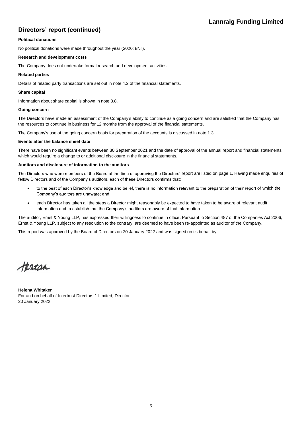# Directors' report (continued)

#### **Political donations**

No political donations were made throughout the year (2020: £Nil).

#### **Research and development costs**

The Company does not undertake formal research and development activities.

#### **Related parties**

Details of related party transactions are set out in note 4.2 of the financial statements.

#### **Share capital**

Information about share capital is shown in note 3.8.

#### **Going concern**

The Directors have made an assessment of the Company's ability to continue as a going concern and are satisfied that the Company has the resources to continue in business for 12 months from the approval of the financial statements.

The Company's use of the going concern basis for preparation of the accounts is discussed in note 1.3.

#### **Events after the balance sheet date**

There have been no significant events between 30 September 2021 and the date of approval of the annual report and financial statements which would require a change to or additional disclosure in the financial statements.

#### **Auditors and disclosure of information to the auditors**

The Directors who were members of the Board at the time of approving the Directors' report are listed on page 1. Having made enquiries of fellow Directors and of the Company's auditors, each of these Directors confirms that:

- to the best of each Director's knowledge and belief, there is no information relevant to the preparation of their report of which the Company's auditors are unaware; and
- each Director has taken all the steps a Director might reasonably be expected to have taken to be aware of relevant audit information and to establish that the Company's auditors are aware of that information.

The auditor, Ernst & Young LLP, has expressed their willingness to continue in office. Pursuant to Section 487 of the Companies Act 2006, Ernst & Young LLP, subject to any resolution to the contrary, are deemed to have been re-appointed as auditor of the Company.

This report was approved by the Board of Directors on 20 January 2022 and was signed on its behalf by:

tercan

**Helena Whitaker** For and on behalf of Intertrust Directors 1 Limited, Director 20 January 2022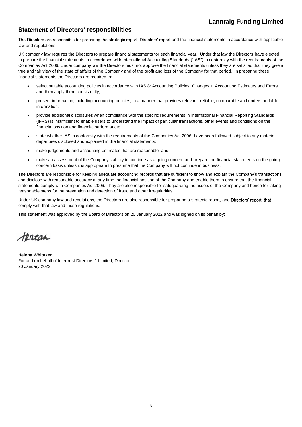# **Statement of Directors' responsibilities**

The Directors are responsible for preparing the strategic report, Directors' report and the financial statements in accordance with applicable law and regulations.

UK company law requires the Directors to prepare financial statements for each financial year. Under that law the Directors have elected to prepare the financial statements in accordance with International Accounting Standards ("IAS") in conformity with the requirements of the Companies Act 2006. Under company law the Directors must not approve the financial statements unless they are satisfied that they give a true and fair view of the state of affairs of the Company and of the profit and loss of the Company for that period. In preparing these financial statements the Directors are required to:

- select suitable accounting policies in accordance with IAS 8: Accounting Policies, Changes in Accounting Estimates and Errors and then apply them consistently;
- present information, including accounting policies, in a manner that provides relevant, reliable, comparable and understandable information;
- provide additional disclosures when compliance with the specific requirements in International Financial Reporting Standards (IFRS) is insufficient to enable users to understand the impact of particular transactions, other events and conditions on the financial position and financial performance;
- state whether IAS in conformity with the requirements of the Companies Act 2006, have been followed subject to any material departures disclosed and explained in the financial statements;
- make judgements and accounting estimates that are reasonable; and
- make an assessment of the Company's ability to continue as a going concern and prepare the financial statements on the going concern basis unless it is appropriate to presume that the Company will not continue in business.

The Directors are responsible for keeping adequate accounting records that are sufficient to show and explain the Company's transactions and disclose with reasonable accuracy at any time the financial position of the Company and enable them to ensure that the financial statements comply with Companies Act 2006. They are also responsible for safeguarding the assets of the Company and hence for taking reasonable steps for the prevention and detection of fraud and other irregularities.

Under UK company law and regulations, the Directors are also responsible for preparing a strategic report, and Directors' report, that comply with that law and those regulations.

This statement was approved by the Board of Directors on 20 January 2022 and was signed on its behalf by:

tertan

**Helena Whitaker** For and on behalf of Intertrust Directors 1 Limited, Director 20 January 2022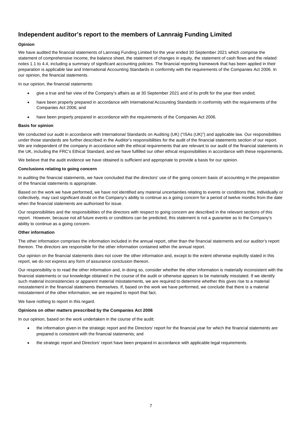# **Independent auditor's report to the members of Lannraig Funding Limited**

#### **Opinion**

We have audited the financial statements of Lannraig Funding Limited for the year ended 30 September 2021 which comprise the statement of comprehensive income, the balance sheet, the statement of changes in equity, the statement of cash flows and the related notes 1.1 to 4.4, including a summary of significant accounting policies. The financial reporting framework that has been applied in their preparation is applicable law and International Accounting Standards in conformity with the requirements of the Companies Act 2006. In our opinion, the financial statements.

In our opinion, the financial statements:

- · give a true and fair view of the Company's affairs as at 30 September 2021 and of its profit for the year then ended;
- have been properly prepared in accordance with International Accounting Standards in conformity with the requirements of the Companies Act 2006; and
- have been properly prepared in accordance with the requirements of the Companies Act 2006.

#### **Basis for opinion**

We conducted our audit in accordance with International Standards on Auditing (UK) ("ISAs (UK)") and applicable law. Our responsibilities under those standards are further described in the Auditor's responsibilities for the audit of the financial statements section of our report. We are independent of the company in accordance with the ethical requirements that are relevant to our audit of the financial statements in the UK, including the FRC's Ethical Standard, and we have fulfilled our other ethical responsibilities in accordance with these requirements.

We believe that the audit evidence we have obtained is sufficient and appropriate to provide a basis for our opinion.

#### **Conclusions relating to going concern**

In auditing the financial statements, we have concluded that the directors' use of the going concern basis of accounting in the preparation of the financial statements is appropriate.

Based on the work we have performed, we have not identified any material uncertainties relating to events or conditions that, individually or collectively, may cast significant doubt on the Company's ability to continue as a going concern for a period of twelve months from the date when the financial statements are authorised for issue.

Our responsibilities and the responsibilities of the directors with respect to going concern are described in the relevant sections of this report. However, because not all future events or conditions can be predicted, this statement is not a guarantee as to the Company's ability to continue as a going concern.

#### **Other information**

The other information comprises the information included in the annual report, other than the financial statements and our auditor's report thereon. The directors are responsible for the other information contained within the annual report.

Our opinion on the financial statements does not cover the other information and, except to the extent otherwise explicitly stated in this report, we do not express any form of assurance conclusion thereon.

Our responsibility is to read the other information and, in doing so, consider whether the other information is materially inconsistent with the financial statements or our knowledge obtained in the course of the audit or otherwise appears to be materially misstated. If we identify such material inconsistencies or apparent material misstatements, we are required to determine whether this gives rise to a material misstatement in the financial statements themselves. If, based on the work we have performed, we conclude that there is a material misstatement of the other information, we are required to report that fact.

#### We have nothing to report in this regard.

#### **Opinions on other matters prescribed by the Companies Act 2006**

In our opinion, based on the work undertaken in the course of the audit:

- the information given in the strategic report and the Directors' report for the financial year for which the financial statements are prepared is consistent with the financial statements; and
- the strategic report and Directors' report have been prepared in accordance with applicable legal requirements.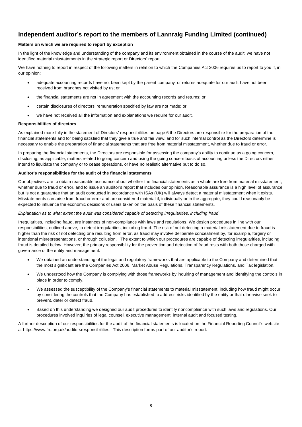# **Independent auditor's report to the members of Lannraig Funding Limited (continued)**

#### **Matters on which we are required to report by exception**

In the light of the knowledge and understanding of the company and its environment obtained in the course of the audit, we have not identified material misstatements in the strategic report or Directors' report.

We have nothing to report in respect of the following matters in relation to which the Companies Act 2006 requires us to report to you if, in our opinion:

- adequate accounting records have not been kept by the parent company, or returns adequate for our audit have not been received from branches not visited by us; or
- the financial statements are not in agreement with the accounting records and returns; or
- · certain disclosures of directors' remuneration specified by law are not made; or
- we have not received all the information and explanations we require for our audit.

#### **Responsibilities of directors**

As explained more fully in the statement of Directors' responsibilities on page 6 the Directors are responsible for the preparation of the financial statements and for being satisfied that they give a true and fair view, and for such internal control as the Directors determine is necessary to enable the preparation of financial statements that are free from material misstatement, whether due to fraud or error.

In preparing the financial statements, the Directors are responsible for assessing the company's ability to continue as a going concern, disclosing, as applicable, matters related to going concern and using the going concern basis of accounting unless the Directors either intend to liquidate the company or to cease operations, or have no realistic alternative but to do so.

#### **Auditor's responsibilities for the audit of the financial statements**

Our objectives are to obtain reasonable assurance about whether the financial statements as a whole are free from material misstatement, whether due to fraud or error, and to issue an auditor's report that includes our opinion. Reasonable assurance is a high level of assurance but is not a guarantee that an audit conducted in accordance with ISAs (UK) will always detect a material misstatement when it exists. Misstatements can arise from fraud or error and are considered material if, individually or in the aggregate, they could reasonably be expected to influence the economic decisions of users taken on the basis of these financial statements.

#### *Explanation as to what extent the audit was considered capable of detecting irregularities, including fraud*

Irregularities, including fraud, are instances of non-compliance with laws and regulations. We design procedures in line with our responsibilities, outlined above, to detect irregularities, including fraud. The risk of not detecting a material misstatement due to fraud is higher than the risk of not detecting one resulting from error, as fraud may involve deliberate concealment by, for example, forgery or intentional misrepresentations, or through collusion. The extent to which our procedures are capable of detecting irregularities, including fraud is detailed below. However, the primary responsibility for the prevention and detection of fraud rests with both those charged with governance of the entity and management.

- · We obtained an understanding of the legal and regulatory frameworks that are applicable to the Company and determined that the most significant are the Companies Act 2006, Market Abuse Regulations, Transparency Regulations, and Tax legislation.
- We understood how the Company is complying with those frameworks by inquiring of management and identifying the controls in place in order to comply.
- We assessed the susceptibility of the Company's financial statements to material misstatement, including how fraud might occur by considering the controls that the Company has established to address risks identified by the entity or that otherwise seek to prevent, deter or detect fraud.
- Based on this understanding we designed our audit procedures to identify noncompliance with such laws and regulations. Our procedures involved inquiries of legal counsel, executive management, internal audit and focused testing.

A further description of our responsibilities for the audit of the financial statements is located on the Financial Reporting Council's website at https://www.frc.org.uk/auditorsresponsibilities. This description forms part of our auditor's report.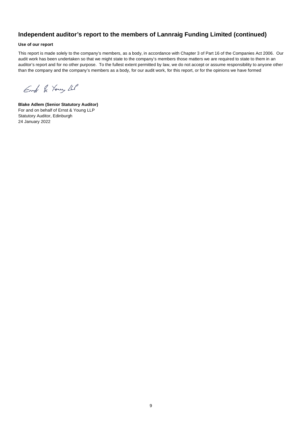## **Independent auditor's report to the members of Lannraig Funding Limited (continued)**

#### **Use of our report**

This report is made solely to the company's members, as a body, in accordance with Chapter 3 of Part 16 of the Companies Act 2006. Our audit work has been undertaken so that we might state to the company's members those matters we are required to state to them in an auditor's report and for no other purpose. To the fullest extent permitted by law, we do not accept or assume responsibility to anyone other than the company and the company's members as a body, for our audit work, for this report, or for the opinions we have formed

Engl & Young LLP

**Blake Adlem (Senior Statutory Auditor)** For and on behalf of Ernst & Young LLP Statutory Auditor, Edinburgh 24 January 2022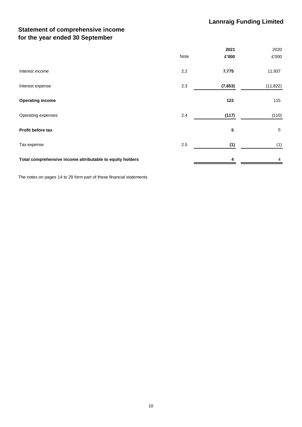# **Statement of comprehensive income for the year ended 30 September**

|                                                           |      | 2021     | 2020       |
|-----------------------------------------------------------|------|----------|------------|
|                                                           | Note | £'000    | £'000      |
| Interest income                                           | 2.2  | 7,775    | 11,937     |
| Interest expense                                          | 2.3  | (7, 653) | (11, 822)  |
| <b>Operating income</b>                                   |      | 122      | 115        |
| Operating expenses                                        | 2.4  | (117)    | (110)      |
| Profit before tax                                         |      | 5        | $\sqrt{5}$ |
| Tax expense                                               | 2.5  | (1)      | (1)        |
| Total comprehensive income attributable to equity holders |      | 4        | 4          |

The notes on pages 14 to 29 form part of these financial statements.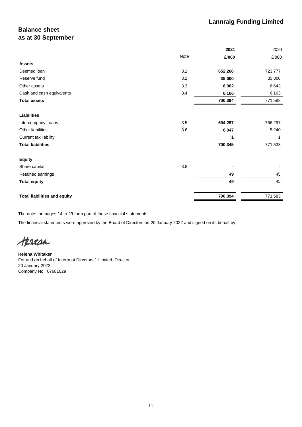# **Lannraig Funding Limited**

# **Balance sheet as at 30 September**

|                                     |      | 2021    | 2020        |
|-------------------------------------|------|---------|-------------|
|                                     | Note | £'000   | £'000       |
| <b>Assets</b>                       |      |         |             |
| Deemed loan                         | 3.1  | 652,266 | 723,777     |
| Reserve fund                        | 3.2  | 35,000  | 35,000      |
| Other assets                        | 3.3  | 6,962   | 6,643       |
| Cash and cash equivalents           | 3.4  | 6,166   | 6,163       |
| <b>Total assets</b>                 |      | 700,394 | 771,583     |
|                                     |      |         |             |
| <b>Liabilities</b>                  |      |         |             |
| Intercompany Loans                  | 3.5  | 694,297 | 766,297     |
| Other liabilities                   | 3.6  | 6,047   | 5,240       |
| Current tax liability               |      | 1       | $\mathbf 1$ |
| <b>Total liabilities</b>            |      | 700,345 | 771,538     |
| <b>Equity</b>                       |      |         |             |
| Share capital                       | 3.8  |         |             |
| Retained earnings                   |      | 49      | 45          |
| <b>Total equity</b>                 |      | 49      | 45          |
| <b>Total liabilities and equity</b> |      | 700,394 | 771,583     |
|                                     |      |         |             |

The notes on pages 14 to 29 form part of these financial statements.

The financial statements were approved by the Board of Directors on 20 January 2022 and signed on its behalf by:

Hercan

**Helena Whitaker** For and on behalf of Intertrust Directors 1 Limited, Director 20 January 2022 Company No: 07681029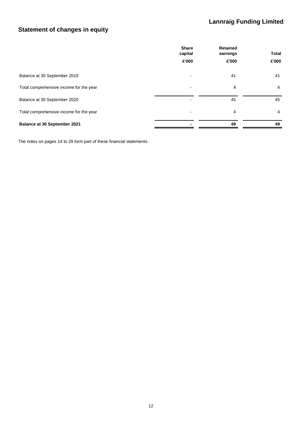# **Statement of changes in equity**

|                                         | <b>Share</b><br>capital<br>£'000 | <b>Retained</b><br>earnings |       | <b>Total</b> |
|-----------------------------------------|----------------------------------|-----------------------------|-------|--------------|
|                                         |                                  | £'000                       | £'000 |              |
| Balance at 30 September 2019            | $\blacksquare$                   | 41                          | 41    |              |
| Total comprehensive income for the year | $\overline{\phantom{0}}$         | 4                           | 4     |              |
| Balance at 30 September 2020            | $\overline{\phantom{0}}$         | 45                          | 45    |              |
| Total comprehensive income for the year | $\overline{\phantom{0}}$         | 4                           | 4     |              |
| Balance at 30 September 2021            |                                  | 49                          | 49    |              |

The notes on pages 14 to 29 form part of these financial statements.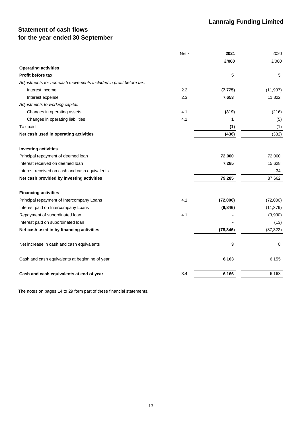# **Statement of cash flows for the year ended 30 September**

|                                                                   | Note | 2021      | 2020      |
|-------------------------------------------------------------------|------|-----------|-----------|
|                                                                   |      | £'000     | £'000     |
| <b>Operating activities</b>                                       |      |           |           |
| <b>Profit before tax</b>                                          |      | 5         | 5         |
| Adjustments for non-cash movements included in profit before tax: |      |           |           |
| Interest income                                                   | 2.2  | (7, 775)  | (11, 937) |
| Interest expense                                                  | 2.3  | 7,653     | 11,822    |
| Adjustments to working capital:                                   |      |           |           |
| Changes in operating assets                                       | 4.1  | (319)     | (216)     |
| Changes in operating liabilities                                  | 4.1  | 1         | (5)       |
| Tax paid                                                          |      | (1)       | (1)       |
| Net cash used in operating activities                             |      | (436)     | (332)     |
| <b>Investing activities</b>                                       |      |           |           |
| Principal repayment of deemed loan                                |      | 72,000    | 72,000    |
| Interest received on deemed loan                                  |      | 7,285     | 15,628    |
| Interest received on cash and cash equivalents                    |      |           | 34        |
| Net cash provided by investing activities                         |      | 79,285    | 87,662    |
| <b>Financing activities</b>                                       |      |           |           |
| Principal repayment of Intercompany Loans                         | 4.1  | (72,000)  | (72,000)  |
| Interest paid on Intercompany Loans                               |      | (6, 846)  | (11, 379) |
| Repayment of subordinated loan                                    | 4.1  |           | (3,930)   |
| Interest paid on subordinated loan                                |      |           | (13)      |
| Net cash used in by financing activities                          |      | (78, 846) | (87, 322) |
| Net increase in cash and cash equivalents                         |      | 3         | 8         |
| Cash and cash equivalents at beginning of year                    |      | 6,163     | 6,155     |
| Cash and cash equivalents at end of year                          | 3.4  | 6,166     | 6,163     |

The notes on pages 14 to 29 form part of these financial statements.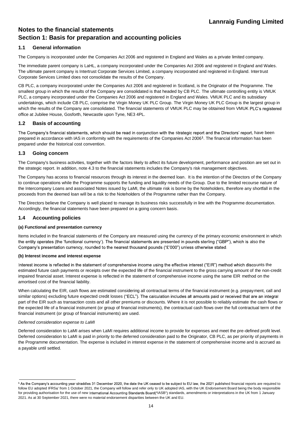# **Notes to the financial statements Section 1: Basis for preparation and accounting policies**

### **1.1 General information**

The Company is incorporated under the Companies Act 2006 and registered in England and Wales as a private limited company.

The immediate parent company is LaHL, a company incorporated under the Companies Act 2006 and registered in England and Wales. The ultimate parent company is Intertrust Corporate Services Limited, a company incorporated and registered in England. Intertrust Corporate Services Limited does not consolidate the results of the Company.

CB PLC, a company incorporated under the Companies Act 2006 and registered in Scotland, is the Originator of the Programme. The smallest group in which the results of the Company are consolidated is that headed by CB PLC. The ultimate controlling entity is VMUK PLC, a company incorporated under the Companies Act 2006 and registered in England and Wales. VMUK PLC and its subsidiary undertakings, which include CB PLC, comprise the Virgin Money UK PLC Group. The Virgin Money UK PLC Group is the largest group in which the results of the Company are consolidated. The financial statements of VMUK PLC may be obtained from VMUK PLC's registered office at Jubilee House, Gosforth, Newcastle upon Tyne, NE3 4PL.

### **1.2 Basis of accounting**

The Company's financial statements, which should be read in conjunction with the strategic report and the Directors' report, have been prepared in accordance with IAS in conformity with the requirements of the Companies Act 2006**<sup>1</sup>** . The financial information has been prepared under the historical cost convention.

### **1.3 Going concern**

The Company's business activities, together with the factors likely to affect its future development, performance and position are set out in the strategic report. In addition, note 4.3 to the financial statements includes the Company's risk management objectives.

The Company has access to financial resources through its interest in the deemed loan. It is the intention of the Directors of the Company to continue operations while the Programme supports the funding and liquidity needs of the Group. Due to the limited recourse nature of the Intercompany Loans and associated Notes issued by LaMI, the ultimate risk is borne by the Noteholders, therefore any shortfall in the proceeds from the deemed loan will be a risk to the Noteholders of the Programme rather than the Company.

The Directors believe the Company is well placed to manage its business risks successfully in line with the Programme documentation. Accordingly, the financial statements have been prepared on a going concern basis.

### **1.4 Accounting policies**

#### **(a) Functional and presentation currency**

Items included in the financial statements of the Company are measured using the currency of the primary economic environment in which the entity operates (the 'functional currency'). The financial statements are presented in pounds sterling ("GBP"), which is also the Company's presentation currency, rounded to the nearest thousand pounds ("£'000") unless otherwise stated.

#### **(b) Interest income and interest expense**

Interest income is reflected in the statement of comprehensive income using the effective interest ("EIR") method which discounts the estimated future cash payments or receipts over the expected life of the financial instrument to the gross carrying amount of the non-credit impaired financial asset. Interest expense is reflected in the statement of comprehensive income using the same EIR method on the amortised cost of the financial liability.

When calculating the EIR, cash flows are estimated considering all contractual terms of the financial instrument (e.g. prepayment, call and similar options) excluding future expected credit losses ("ECL"). The calculation includes all amounts paid or received that are an integral part of the EIR such as transaction costs and all other premiums or discounts. Where it is not possible to reliably estimate the cash flows or the expected life of a financial instrument (or group of financial instruments), the contractual cash flows over the full contractual term of the financial instrument (or group of financial instruments) are used.

#### *Deferred consideration expense to LaMI*

Deferred consideration to LaMI arises when LaMI requires additional income to provide for expenses and meet the pre-defined profit level. Deferred consideration to LaMI is paid in priority to the deferred consideration paid to the Originator, CB PLC, as per priority of payments in the Programme documentation. The expense is included in interest expense in the statement of comprehensive income and is accrued as a payable until settled.

<sup>1</sup> As the Company's accounting year straddles 31 December 2020, the date the UK ceased to be subject to EU law, the 2021 published financial reports are required to follow EU adopted IFRSs' from 1 October 2021, the Company will follow and refer only to UK adopted IAS, with the UK Endorsement Board being the body responsible for providing authorisation for the use of new International Accounting Standards Board("IASB") standards, amendments or interpretations in the UK from 1 January 2021. As at 30 September 2021, there were no material endorsement disparities between the UK and EU.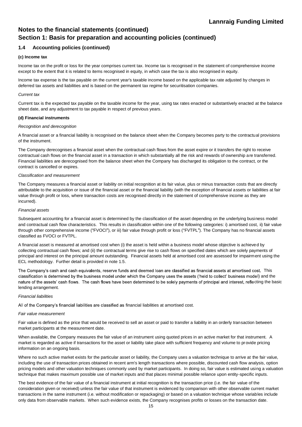# **Notes to the financial statements (continued) Section 1: Basis for preparation and accounting policies (continued)**

### **1.4 Accounting policies (continued)**

#### **(c) Income tax**

Income tax on the profit or loss for the year comprises current tax. Income tax is recognised in the statement of comprehensive income except to the extent that it is related to items recognised in equity, in which case the tax is also recognised in equity.

Income tax expense is the tax payable on the current year's taxable income based on the applicable tax rate adjusted by changes in deferred tax assets and liabilities and is based on the permanent tax regime for securitisation companies.

#### *Current tax*

Current tax is the expected tax payable on the taxable income for the year, using tax rates enacted or substantively enacted at the balance sheet date, and any adjustment to tax payable in respect of previous years.

#### **(d) Financial instruments**

#### *Recognition and derecognition*

A financial asset or a financial liability is recognised on the balance sheet when the Company becomes party to the contractual provisions of the instrument.

The Company derecognises a financial asset when the contractual cash flows from the asset expire or it transfers the right to receive contractual cash flows on the financial asset in a transaction in which substantially all the risk and rewards of ownership are transferred. Financial liabilities are derecognised from the balance sheet when the Company has discharged its obligation to the contract, or the contract is cancelled or expires.

#### *Classification and measurement*

The Company measures a financial asset or liability on initial recognition at its fair value, plus or minus transaction costs that are directly attributable to the acquisition or issue of the financial asset or the financial liability (with the exception of financial assets or liabilities at fair value through profit or loss, where transaction costs are recognised directly in the statement of comprehensive income as they are incurred).

#### *Financial assets*

Subsequent accounting for a financial asset is determined by the classification of the asset depending on the underlying business model and contractual cash flow characteristics. This results in classification within one of the following categories: i) amortised cost, ii) fair value through other comprehensive income ("FVOCI"), or iii) fair value through profit or loss ("FVTPL"). The Company has no financial assets classified as FVOCI or FVTPL.

A financial asset is measured at amortised cost when (i) the asset is held within a business model whose objective is achieved by collecting contractual cash flows; and (ii) the contractual terms give rise to cash flows on specified dates which are solely payments of principal and interest on the principal amount outstanding. Financial assets held at amortised cost are assessed for impairment using the ECL methodology. Further detail is provided in note 1.5.

The Company's cash and cash equivalents, reserve funds and deemed loan are classified as financial assets at amortised cost. This classification is determined by the business model under which the Company uses the assets ('held to collect' business model) and the nature of the assets' cash flows. The cash flows have been determined to be solely payments of principal and interest, reflecting the basic lending arrangement.

#### *Financial liabilities*

All of the Company's financial liabilities are classified as financial liabilities at amortised cost.

#### *Fair value measurement*

Fair value is defined as the price that would be received to sell an asset or paid to transfer a liability in an orderly transaction between market participants at the measurement date.

When available, the Company measures the fair value of an instrument using quoted prices in an active market for that instrument. A market is regarded as active if transactions for the asset or liability take place with sufficient frequency and volume to provide pricing information on an ongoing basis.

Where no such active market exists for the particular asset or liability, the Company uses a valuation technique to arrive at the fair value, including the use of transaction prices obtained in recent arm's length transactions where possible, discounted cash flow analysis, option pricing models and other valuation techniques commonly used by market participants. In doing so, fair value is estimated using a valuation technique that makes maximum possible use of market inputs and that places minimal possible reliance upon entity-specific inputs.

The best evidence of the fair value of a financial instrument at initial recognition is the transaction price (i.e. the fair value of the consideration given or received) unless the fair value of that instrument is evidenced by comparison with other observable current market transactions in the same instrument (i.e. without modification or repackaging) or based on a valuation technique whose variables include only data from observable markets. When such evidence exists, the Company recognises profits or losses on the transaction date.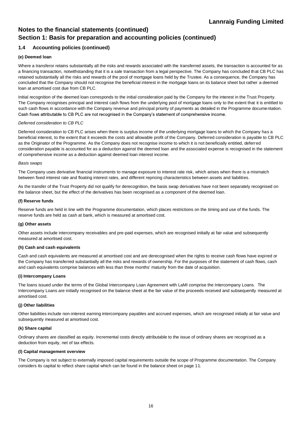# **Notes to the financial statements (continued) Section 1: Basis for preparation and accounting policies (continued)**

### **1.4 Accounting policies (continued)**

#### **(e) Deemed loan**

Where a transferor retains substantially all the risks and rewards associated with the transferred assets, the transaction is accounted for as a financing transaction, notwithstanding that it is a sale transaction from a legal perspective. The Company has concluded that CB PLC has retained substantially all the risks and rewards of the pool of mortgage loans held by the Trustee. As a consequence, the Company has concluded that the Company should not recognise the beneficial interest in the mortgage loans on its balance sheet but rather a deemed loan at amortised cost due from CB PLC.

Initial recognition of the deemed loan corresponds to the initial consideration paid by the Company for the interest in the Trust Property. The Company recognises principal and interest cash flows from the underlying pool of mortgage loans only to the extent that it is entitled to such cash flows in accordance with the Company revenue and principal priority of payments as detailed in the Programme documentation. Cash flows attributable to CB PLC are not recognised in the Company's statement of comprehensive income.

#### *Deferred consideration to CB PLC*

Deferred consideration to CB PLC arises when there is surplus income of the underlying mortgage loans to which the Company has a beneficial interest, to the extent that it exceeds the costs and allowable profit of the Company. Deferred consideration is payable to CB PLC as the Originator of the Programme. As the Company does not recognise income to which it is not beneficially entitled, deferred consideration payable is accounted for as a deduction against the deemed loan and the associated expense is recognised in the statement of comprehensive income as a deduction against deemed loan interest income.

#### *Basis swaps*

The Company uses derivative financial instruments to manage exposure to interest rate risk, which arises when there is a mismatch between fixed interest rate and floating interest rates, and different repricing characteristics between assets and liabilities.

As the transfer of the Trust Property did not qualify for derecognition, the basis swap derivatives have not been separately recognised on the balance sheet, but the effect of the derivatives has been recognised as a component of the deemed loan.

#### **(f) Reserve funds**

Reserve funds are held in line with the Programme documentation, which places restrictions on the timing and use of the funds. The reserve funds are held as cash at bank, which is measured at amortised cost.

#### **(g) Other assets**

Other assets include intercompany receivables and pre-paid expenses, which are recognised initially at fair value and subsequently measured at amortised cost.

#### **(h) Cash and cash equivalents**

Cash and cash equivalents are measured at amortised cost and are derecognised when the rights to receive cash flows have expired or the Company has transferred substantially all the risks and rewards of ownership. For the purposes of the statement of cash flows, cash and cash equivalents comprise balances with less than three months' maturity from the date of acquisition.

#### **(i) Intercompany Loans**

The loans issued under the terms of the Global Intercompany Loan Agreement with LaMI comprise the Intercompany Loans. The Intercompany Loans are initially recognised on the balance sheet at the fair value of the proceeds received and subsequently measured at amortised cost.

#### **(j) Other liabilities**

Other liabilities include non-interest earning intercompany payables and accrued expenses, which are recognised initially at fair value and subsequently measured at amortised cost.

#### **(k) Share capital**

Ordinary shares are classified as equity. Incremental costs directly attributable to the issue of ordinary shares are recognised as a deduction from equity, net of tax effects.

#### **(l) Capital management overview**

The Company is not subject to externally imposed capital requirements outside the scope of Programme documentation. The Company considers its capital to reflect share capital which can be found in the balance sheet on page 11.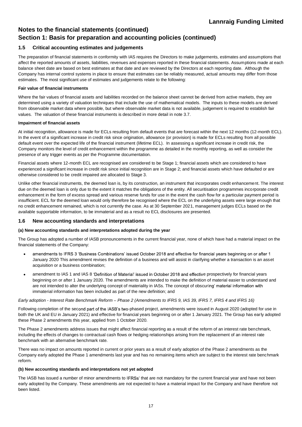# **Notes to the financial statements (continued) Section 1: Basis for preparation and accounting policies (continued)**

### **1.5 Critical accounting estimates and judgements**

The preparation of financial statements in conformity with IAS requires the Directors to make judgements, estimates and assumptions that affect the reported amounts of assets, liabilities, revenues and expenses reported in these financial statements. Assumptions made at each balance sheet date are based on best estimates at that date and are reviewed by the Directors at each reporting date. Although the Company has internal control systems in place to ensure that estimates can be reliably measured, actual amounts may differ from those estimates. The most significant use of estimates and judgements relate to the following:

#### **Fair value of financial instruments**

Where the fair values of financial assets and liabilities recorded on the balance sheet cannot be derived from active markets, they are determined using a variety of valuation techniques that include the use of mathematical models. The inputs to these models are derived from observable market data where possible, but where observable market data is not available, judgement is required to establish fair values. The valuation of these financial instruments is described in more detail in note 3.7.

#### **Impairment of financial assets**

At initial recognition, allowance is made for ECLs resulting from default events that are forecast within the next 12 months (12-month ECL). In the event of a significant increase in credit risk since origination, allowance (or provision) is made for ECLs resulting from all possible default event over the expected life of the financial instrument (lifetime ECL). In assessing a significant increase in credit risk, the Company monitors the level of credit enhancement within the programme as detailed in the monthly reporting, as well as consider the presence of any trigger events as per the Programme documentation.

Financial assets where 12-month ECL are recognised are considered to be Stage 1; financial assets which are considered to have experienced a significant increase in credit risk since initial recognition are in Stage 2; and financial assets which have defaulted or are otherwise considered to be credit impaired are allocated to Stage 3.

Unlike other financial instruments, the deemed loan is, by its construction, an instrument that incorporates credit enhancement. The interest due on the deemed loan is only due to the extent it matches the obligations of the entity. All securitisation programmes incorporate credit enhancement in the form of excess spread and various reserve funds for use in the event the cash flow for a particular payment period is insufficient. ECL for the deemed loan would only therefore be recognised where the ECL on the underlying assets were large enough that no credit enhancement remained, which is not currently the case. As at 30 September 2021, management judges ECLs based on the available supportable information, to be immaterial and as a result no ECL disclosures are presented.

#### **1.6 New accounting standards and interpretations**

#### **(a) New accounting standards and interpretations adopted during the year**

The Group has adopted a number of IASB pronouncements in the current financial year, none of which have had a material impact on the financial statements of the Company:

- amendments to IFRS 3 'Business Combinations' issued October 2018 and effective for financial years beginning on or after 1  $\bullet$ January 2020 This amendment revises the definition of a business and will assist in clarifying whether a transaction is an asset acquisition or a business combination;
- amendment to IAS 1 and IAS 8 'Definition of Material' issued in October 2018 and effective prospectively for financial years beginning on or after 1 January 2020. The amendments are intended to make the definition of material easier to understand and are not intended to alter the underlying concept of materiality in IASs. The concept of obscuring' material information with immaterial information has been included as part of the new definition; and

#### *Early adoption - Interest Rate Benchmark Reform Phase 2 (Amendments to IFRS 9, IAS 39, IFRS 7, IFRS 4 and IFRS 16)*

Following completion of the second part of the IASB's two-phased project, amendments were issued in August 2020 (adopted for use in both the UK and EU in January 2021) and effective for financial years beginning on or after 1 January 2021. The Group has early adopted these Phase 2 amendments this year, applied from 1 October 2020.

The Phase 2 amendments address issues that might affect financial reporting as a result of the reform of an interest rate benchmark, including the effects of changes to contractual cash flows or hedging relationships arising from the replacement of an interest rate benchmark with an alternative benchmark rate.

There was no impact on amounts reported in current or prior years as a result of early adoption of the Phase 2 amendments as the Company early adopted the Phase 1 amendments last year and has no remaining items which are subject to the interest rate benchmark reform.

#### **(b) New accounting standards and interpretations not yet adopted**

The IASB has issued a number of minor amendments to IFRSs' that are not mandatory for the current financial year and have not been early adopted by the Company. These amendments are not expected to have a material impact for the Company and have therefore not been listed.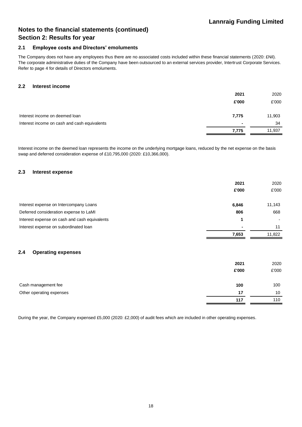# **Notes to the financial statements (continued) Section 2: Results for year**

### **2.1 Employee costs and Directors' emoluments**

The Company does not have any employees thus there are no associated costs included within these financial statements (2020: £Nil). The corporate administrative duties of the Company have been outsourced to an external services provider, Intertrust Corporate Services. Refer to page 4 for details of Directors emoluments.

### **2.2 Interest income**

|                                              | 2021           | 2020   |
|----------------------------------------------|----------------|--------|
|                                              | £'000          | £'000  |
| Interest income on deemed loan               | 7,775          | 11,903 |
| Interest income on cash and cash equivalents | $\blacksquare$ | 34     |
|                                              | 7.775          | 11,937 |

Interest income on the deemed loan represents the income on the underlying mortgage loans, reduced by the net expense on the basis swap and deferred consideration expense of £10,795,000 (2020: £10,366,000).

### **2.3 Interest expense**

|                                               | 2021<br>£'000            | 2020<br>£'000 |
|-----------------------------------------------|--------------------------|---------------|
| Interest expense on Intercompany Loans        | 6,846                    | 11,143        |
| Deferred consideration expense to LaMI        | 806                      | 668           |
| Interest expense on cash and cash equivalents |                          |               |
| Interest expense on subordinated loan         | $\overline{\phantom{a}}$ | 11            |
|                                               | 7,653                    | 11,822        |

### **2.4 Operating expenses**

|                          | 2021<br>£'000 | 2020<br>£'000 |
|--------------------------|---------------|---------------|
| Cash management fee      | 100           | 100           |
| Other operating expenses | 17            | 10            |
|                          | 117           | 110           |

During the year, the Company expensed £5,000 (2020: £2,000) of audit fees which are included in other operating expenses.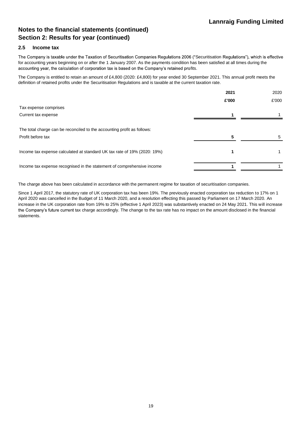# **Notes to the financial statements (continued) Section 2: Results for year (continued)**

### **2.5 Income tax**

The Company is taxable under the Taxation of Securitisation Companies Regulations 2006 ("Securitisation Regulations"), which is effective for accounting years beginning on or after the 1 January 2007. As the payments condition has been satisfied at all times during the accounting year, the calculation of corporation tax is based on the Company's retained profits.

The Company is entitled to retain an amount of £4,800 (2020: £4,800) for year ended 30 September 2021. This annual profit meets the definition of retained profits under the Securitisation Regulations and is taxable at the current taxation rate.

|                                                                          | 2021  | 2020  |
|--------------------------------------------------------------------------|-------|-------|
|                                                                          | £'000 | £'000 |
| Tax expense comprises                                                    |       |       |
| Current tax expense                                                      |       |       |
| The total charge can be reconciled to the accounting profit as follows:  |       |       |
| Profit before tax                                                        | 5     |       |
| Income tax expense calculated at standard UK tax rate of 19% (2020: 19%) |       |       |
| Income tax expense recognised in the statement of comprehensive income   |       |       |

The charge above has been calculated in accordance with the permanent regime for taxation of securitisation companies.

Since 1 April 2017, the statutory rate of UK corporation tax has been 19%. The previously enacted corporation tax reduction to 17% on 1 April 2020 was cancelled in the Budget of 11 March 2020, and a resolution effecting this passed by Parliament on 17 March 2020. An increase in the UK corporation rate from 19% to 25% (effective 1 April 2023) was substantively enacted on 24 May 2021. This will increase the Company's future current tax charge accordingly. The change to the tax rate has no impact on the amount disclosed in the financial statements.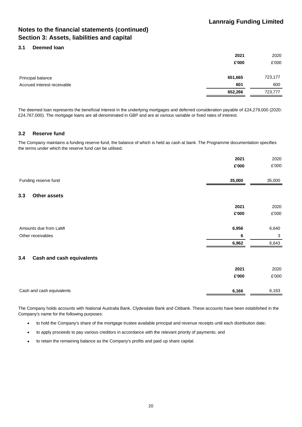# **Notes to the financial statements (continued) Section 3: Assets, liabilities and capital**

### **3.1 Deemed loan**

|                             | 2021    | 2020    |
|-----------------------------|---------|---------|
|                             | £'000   | £'000   |
|                             |         |         |
| Principal balance           | 651,665 | 723,177 |
| Accrued interest receivable | 601     | 600     |
|                             | 652,266 | 723,777 |

The deemed loan represents the beneficial interest in the underlying mortgages and deferred consideration payable of £24,279,000 (2020: £24,767,000). The mortgage loans are all denominated in GBP and are at various variable or fixed rates of interest.

### **3.2 Reserve fund**

The Company maintains a funding reserve fund, the balance of which is held as cash at bank. The Programme documentation specifies the terms under which the reserve fund can be utilised.

|                                         | 2021   | 2020          |
|-----------------------------------------|--------|---------------|
|                                         | £'000  | £'000         |
| Funding reserve fund                    | 35,000 | 35,000        |
| 3.3<br>Other assets                     |        |               |
|                                         | 2021   | 2020          |
|                                         | £'000  | $\pounds$ 000 |
| Amounts due from LaMI                   | 6,956  | 6,640         |
| Other receivables                       | 6      | 3             |
|                                         | 6,962  | 6,643         |
| <b>Cash and cash equivalents</b><br>3.4 |        |               |
|                                         | 2021   | 2020          |
|                                         | £'000  | £'000         |
| Cash and cash equivalents               | 6,166  | 6,163         |

The Company holds accounts with National Australia Bank, Clydesdale Bank and Citibank. These accounts have been established in the Company's name for the following purposes:

- to hold the Company's share of the mortgage trustee available principal and revenue receipts until each distribution date;
- to apply proceeds to pay various creditors in accordance with the relevant priority of payments; and
- to retain the remaining balance as the Company's profits and paid up share capital.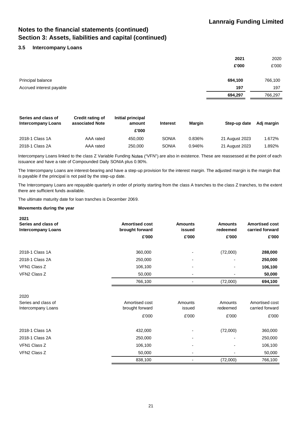# **Notes to the financial statements (continued) Section 3: Assets, liabilities and capital (continued)**

### **3.5 Intercompany Loans**

|                          | 2021    | 2020    |
|--------------------------|---------|---------|
|                          | £'000   | £'000   |
|                          |         |         |
| Principal balance        | 694,100 | 766,100 |
| Accrued interest payable | 197     | 197     |
|                          | 694,297 | 766,297 |

| Series and class of<br><b>Intercompany Loans</b> | <b>Credit rating of</b><br>associated Note | Initial principal<br>amount<br>£'000 | <b>Interest</b> | Margin | Step-up date   | Adj margin |
|--------------------------------------------------|--------------------------------------------|--------------------------------------|-----------------|--------|----------------|------------|
| 2018-1 Class 1A                                  | AAA rated                                  | 450,000                              | <b>SONIA</b>    | 0.836% | 21 August 2023 | 1.672%     |
| 2018-1 Class 2A                                  | AAA rated                                  | 250,000                              | <b>SONIA</b>    | 0.946% | 21 August 2023 | .892%      |

Intercompany Loans linked to the class Z Variable Funding Notes ("VFN") are also in existence. These are reassessed at the point of each issuance and have a rate of Compounded Daily SONIA plus 0.90%.

The Intercompany Loans are interest-bearing and have a step-up provision for the interest margin. The adjusted margin is the margin that is payable if the principal is not paid by the step-up date.

The Intercompany Loans are repayable quarterly in order of priority starting from the class A tranches to the class Z tranches, to the extent there are sufficient funds available.

The ultimate maturity date for loan tranches is December 2069.

#### **Movements during the year**

| 2021                      |                       |                |                |                       |
|---------------------------|-----------------------|----------------|----------------|-----------------------|
| Series and class of       | <b>Amortised cost</b> | <b>Amounts</b> | <b>Amounts</b> | <b>Amortised cost</b> |
| <b>Intercompany Loans</b> | brought forward       | issued         | redeemed       | carried forward       |
|                           | £'000                 | £'000          | £'000          | £'000                 |
| 2018-1 Class 1A           | 360,000               |                | (72,000)       | 288,000               |
| 2018-1 Class 2A           | 250,000               |                |                | 250,000               |
| VFN1 Class Z              | 106,100               |                |                | 106,100               |
| <b>VFN2 Class Z</b>       | 50,000                |                |                | 50,000                |
|                           | 766,100               |                | (72,000)       | 694,100               |
| 2020                      |                       |                |                |                       |
| Series and class of       | Amortised cost        | Amounts        | Amounts        | Amortised cost        |
| Intercompany Loans        | brought forward       | issued         | redeemed       | carried forward       |
|                           | £'000                 | £'000          | £'000          | £'000                 |
| 2018-1 Class 1A           | 432,000               |                | (72,000)       | 360,000               |
| 2018-1 Class 2A           | 250,000               |                |                | 250,000               |
| VFN1 Class Z              | 106,100               |                |                | 106,100               |
| VFN2 Class Z              | 50,000                |                |                | 50,000                |
|                           | 838,100               |                | (72,000)       | 766,100               |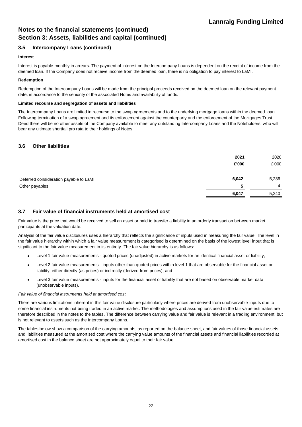# **Notes to the financial statements (continued) Section 3: Assets, liabilities and capital (continued)**

### **3.5 Intercompany Loans (continued)**

#### **Interest**

Interest is payable monthly in arrears. The payment of interest on the Intercompany Loans is dependent on the receipt of income from the deemed loan. If the Company does not receive income from the deemed loan, there is no obligation to pay interest to LaMI.

#### **Redemption**

Redemption of the Intercompany Loans will be made from the principal proceeds received on the deemed loan on the relevant payment date, in accordance to the seniority of the associated Notes and availability of funds.

#### **Limited recourse and segregation of assets and liabilities**

The Intercompany Loans are limited in recourse to the swap agreements and to the underlying mortgage loans within the deemed loan. Following termination of a swap agreement and its enforcement against the counterparty and the enforcement of the Mortgages Trust Deed there will be no other assets of the Company available to meet any outstanding Intercompany Loans and the Noteholders, who will bear any ultimate shortfall pro rata to their holdings of Notes.

### **3.6 Other liabilities**

|                                        | 2021<br>£'000 | 2020<br>£'000  |
|----------------------------------------|---------------|----------------|
| Deferred consideration payable to LaMI | 6,042         | 5,236          |
| Other payables                         | 5             | $\overline{4}$ |
|                                        | 6,047         | 5,240          |

### **3.7 Fair value of financial instruments held at amortised cost**

Fair value is the price that would be received to sell an asset or paid to transfer a liability in an orderly transaction between market participants at the valuation date.

Analysis of the fair value disclosures uses a hierarchy that reflects the significance of inputs used in measuring the fair value. The level in the fair value hierarchy within which a fair value measurement is categorised is determined on the basis of the lowest level input that is significant to the fair value measurement in its entirety. The fair value hierarchy is as follows:

- Level 1 fair value measurements quoted prices (unadjusted) in active markets for an identical financial asset or liability;
- Level 2 fair value measurements inputs other than quoted prices within level 1 that are observable for the financial asset or liability, either directly (as prices) or indirectly (derived from prices); and
- Level 3 fair value measurements inputs for the financial asset or liability that are not based on observable market data (unobservable inputs).

#### *Fair value of financial instruments held at amortised cost*

There are various limitations inherent in this fair value disclosure particularly where prices are derived from unobservable inputs due to some financial instruments not being traded in an active market. The methodologies and assumptions used in the fair value estimates are therefore described in the notes to the tables. The difference between carrying value and fair value is relevant in a trading environment, but is not relevant to assets such as the Intercompany Loans.

The tables below show a comparison of the carrying amounts, as reported on the balance sheet, and fair values of those financial assets and liabilities measured at the amortised cost where the carrying value amounts of the financial assets and financial liabilities recorded at amortised cost in the balance sheet are not approximately equal to their fair value.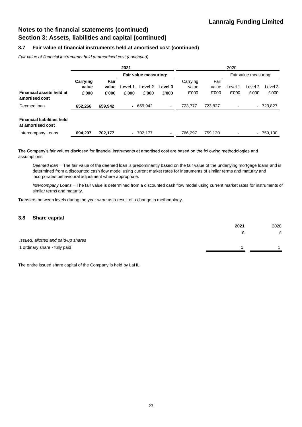# **Notes to the financial statements (continued) Section 3: Assets, liabilities and capital (continued)**

### **3.7 Fair value of financial instruments held at amortised cost (continued)**

*Fair value of financial instruments held at amortised cost (continued)*

|                                                        | 2021                       |                        |                  |                       | 2020                     |                            |                        |                       |                  |                  |
|--------------------------------------------------------|----------------------------|------------------------|------------------|-----------------------|--------------------------|----------------------------|------------------------|-----------------------|------------------|------------------|
|                                                        |                            |                        |                  | Fair value measuring: |                          |                            |                        | Fair value measuring: |                  |                  |
| Financial assets held at<br>amortised cost             | Carrying<br>value<br>£'000 | Fair<br>value<br>£'000 | Level 1<br>£'000 | Level 2<br>£'000      | Level 3<br>£'000         | Carrying<br>value<br>£'000 | Fair<br>value<br>£'000 | Level 1<br>£'000      | Level 2<br>£'000 | Level 3<br>£'000 |
| Deemed loan                                            | 652,266                    | 659,942                |                  | $-659,942$            | $\overline{\phantom{a}}$ | 723,777                    | 723,827                |                       |                  | $-723,827$       |
| <b>Financial liabilities held</b><br>at amortised cost |                            |                        |                  |                       |                          |                            |                        |                       |                  |                  |
| Intercompany Loans                                     | 694.297                    | 702,177                |                  | $-702,177$            | $\blacksquare$           | 766,297                    | 759,130                |                       |                  | $-759,130$       |

The Company's fair values disclosed for financial instruments at amortised cost are based on the following methodologies and assumptions:

*Deemed loan* The fair value of the deemed loan is predominantly based on the fair value of the underlying mortgage loans and is determined from a discounted cash flow model using current market rates for instruments of similar terms and maturity and incorporates behavioural adjustment where appropriate.

*Intercompany Loans* - The fair value is determined from a discounted cash flow model using current market rates for instruments of similar terms and maturity.

Transfers between levels during the year were as a result of a change in methodology.

#### **3.8 Share capital**

|                                     | 2021 | 2020 |
|-------------------------------------|------|------|
|                                     |      | £    |
| Issued, allotted and paid-up shares |      |      |
| 1 ordinary share - fully paid       |      |      |
|                                     |      |      |

The entire issued share capital of the Company is held by LaHL.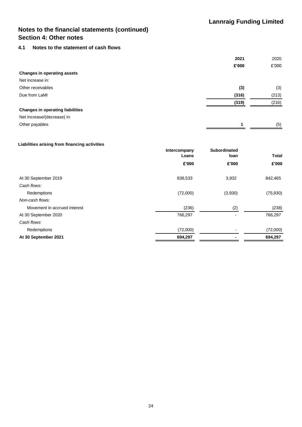### **4.1 Notes to the statement of cash flows**

|                                         | 2021  | 2020  |
|-----------------------------------------|-------|-------|
|                                         | £'000 | £'000 |
| <b>Changes in operating assets</b>      |       |       |
| Net increase in:                        |       |       |
| Other receivables                       | (3)   | (3)   |
| Due from LaMI                           | (316) | (213) |
|                                         | (319) | (216) |
| <b>Changes in operating liabilities</b> |       |       |
| Net increase/(decrease) in:             |       |       |
| Other payables                          | 1     | (5)   |

### **Liabilities arising from financing activities**

|                              | Intercompany<br>Loans | <b>Subordinated</b><br>loan | <b>Total</b> |
|------------------------------|-----------------------|-----------------------------|--------------|
|                              | £'000                 | £'000                       | £'000        |
| At 30 September 2019         | 838,533               | 3,932                       | 842,465      |
| Cash flows:                  |                       |                             |              |
| Redemptions                  | (72,000)              | (3,930)                     | (75, 930)    |
| Non-cash flows:              |                       |                             |              |
| Movement in accrued interest | (236)                 | (2)                         | (238)        |
| At 30 September 2020         | 766,297               |                             | 766,297      |
| Cash flows:                  |                       |                             |              |
| Redemptions                  | (72,000)              |                             | (72,000)     |
| At 30 September 2021         | 694,297               |                             | 694,297      |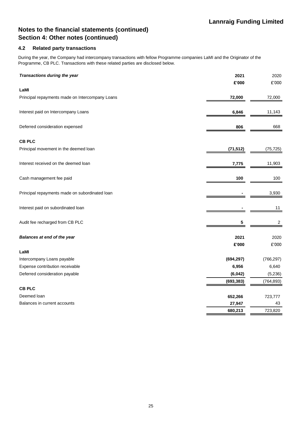### **4.2 Related party transactions**

During the year, the Company had intercompany transactions with fellow Programme companies LaMI and the Originator of the Programme, CB PLC. Transactions with these related parties are disclosed below.

| Transactions during the year                    | 2021       | 2020       |
|-------------------------------------------------|------------|------------|
|                                                 | £'000      | £'000      |
| LaMI                                            |            |            |
| Principal repayments made on Intercompany Loans | 72,000     | 72,000     |
| Interest paid on Intercompany Loans             | 6,846      | 11,143     |
| Deferred consideration expensed                 | 806        | 668        |
| <b>CB PLC</b>                                   |            |            |
| Principal movement in the deemed loan           | (71, 512)  | (75, 725)  |
| Interest received on the deemed loan            | 7,775      | 11,903     |
| Cash management fee paid                        | 100        | 100        |
| Principal repayments made on subordinated loan  |            | 3,930      |
| Interest paid on subordinated loan              |            | 11         |
| Audit fee recharged from CB PLC                 | 5          | 2          |
| Balances at end of the year                     | 2021       | 2020       |
| LaMI                                            | £'000      | £'000      |
| Intercompany Loans payable                      | (694, 297) | (766, 297) |
| Expense contribution receivable                 | 6,956      | 6,640      |
| Deferred consideration payable                  | (6, 042)   | (5,236)    |
|                                                 | (693, 383) | (764, 893) |
| <b>CB PLC</b>                                   |            |            |
| Deemed loan                                     | 652,266    | 723,777    |
| Balances in current accounts                    | 27,947     | 43         |
|                                                 | 680,213    | 723,820    |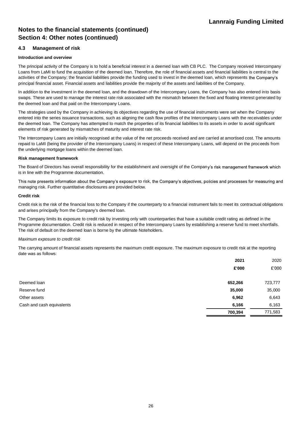### **4.3 Management of risk**

#### **Introduction and overview**

The principal activity of the Company is to hold a beneficial interest in a deemed loan with CB PLC. The Company received Intercompany Loans from LaMI to fund the acquisition of the deemed loan. Therefore, the role of financial assets and financial liabilities is central to the activities of the Company; the financial liabilities provide the funding used to invest in the deemed loan, which represents the Company's principal financial asset. Financial assets and liabilities provide the majority of the assets and liabilities of the Company.

In addition to the investment in the deemed loan, and the drawdown of the Intercompany Loans, the Company has also entered into basis swaps. These are used to manage the interest rate risk associated with the mismatch between the fixed and floating interest generated by the deemed loan and that paid on the Intercompany Loans.

The strategies used by the Company in achieving its objectives regarding the use of financial instruments were set when the Company entered into the series issuance transactions, such as aligning the cash flow profiles of the Intercompany Loans with the receivables under the deemed loan. The Company has attempted to match the properties of its financial liabilities to its assets in order to avoid significant elements of risk generated by mismatches of maturity and interest rate risk.

The Intercompany Loans are initially recognised at the value of the net proceeds received and are carried at amortised cost. The amounts repaid to LaMI (being the provider of the Intercompany Loans) in respect of these Intercompany Loans, will depend on the proceeds from the underlying mortgage loans within the deemed loan.

#### **Risk management framework**

The Board of Directors has overall responsibility for the establishment and oversight of the Company's risk management framework which is in line with the Programme documentation.

This note presents information about the Company's exposure to risk, the Company's objectives, policies and processes for measuring and managing risk. Further quantitative disclosures are provided below.

#### **Credit risk**

Credit risk is the risk of the financial loss to the Company if the counterparty to a financial instrument fails to meet its contractual obligations and arises principally from the Company's deemed loan.

The Company limits its exposure to credit risk by investing only with counterparties that have a suitable credit rating as defined in the Programme documentation. Credit risk is reduced in respect of the Intercompany Loans by establishing a reserve fund to meet shortfalls. The risk of default on the deemed loan is borne by the ultimate Noteholders.

#### *Maximum exposure to credit risk*

The carrying amount of financial assets represents the maximum credit exposure. The maximum exposure to credit risk at the reporting date was as follows:

|                           | 2021    | 2020    |
|---------------------------|---------|---------|
|                           | £'000   | £'000   |
| Deemed loan               | 652,266 | 723,777 |
| Reserve fund              | 35,000  | 35,000  |
| Other assets              | 6,962   | 6,643   |
| Cash and cash equivalents | 6,166   | 6,163   |
|                           | 700,394 | 771,583 |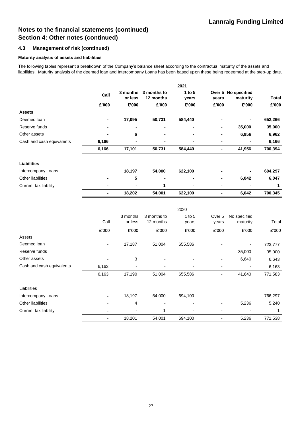### **4.3 Management of risk (continued)**

#### **Maturity analysis of assets and liabilities**

The following tables represent a breakdown of the Company's balance sheet according to the contractual maturity of the assets and liabilities. Maturity analysis of the deemed loan and Intercompany Loans has been based upon these being redeemed at the step-up date.

|                           |                |          |             | 2021       |                          |                     |              |
|---------------------------|----------------|----------|-------------|------------|--------------------------|---------------------|--------------|
|                           | Call           | 3 months | 3 months to | $1$ to $5$ |                          | Over 5 No specified |              |
|                           |                | or less  | 12 months   | years      | years                    | maturity            | <b>Total</b> |
|                           | £'000          | £'000    | £'000       | £'000      | £'000                    | £'000               | £'000        |
| <b>Assets</b>             |                |          |             |            |                          |                     |              |
| Deemed loan               |                | 17,095   | 50,731      | 584,440    |                          |                     | 652,266      |
| Reserve funds             |                |          |             |            |                          | 35,000              | 35,000       |
| Other assets              |                | 6        |             |            |                          | 6,956               | 6,962        |
| Cash and cash equivalents | 6,166          |          |             |            | $\blacksquare$           |                     | 6,166        |
|                           | 6,166          | 17,101   | 50,731      | 584,440    | $\blacksquare$           | 41,956              | 700,394      |
| <b>Liabilities</b>        |                |          |             |            |                          |                     |              |
| Intercompany Loans        |                | 18,197   | 54,000      | 622,100    |                          |                     | 694,297      |
| Other liabilities         |                | 5        |             |            |                          | 6,042               | 6,047        |
| Current tax liability     |                |          | 1           |            |                          |                     | 1            |
|                           | $\blacksquare$ | 18,202   | 54,001      | 622,100    | $\blacksquare$           | 6,042               | 700,345      |
|                           |                |          |             | 2020       |                          |                     |              |
|                           |                | 3 months | 3 months to | $1$ to $5$ | Over 5                   | No specified        |              |
|                           | Call           | or less  | 12 months   | years      | years                    | maturity            | Total        |
|                           | £'000          | £'000    | £'000       | £'000      | £'000                    | £'000               | £'000        |
| Assets                    |                |          |             |            |                          |                     |              |
| Deemed loan               |                | 17,187   | 51,004      | 655,586    |                          |                     | 723,777      |
| Reserve funds             |                |          |             |            |                          | 35,000              | 35,000       |
| Other assets              |                | 3        |             |            |                          | 6,640               | 6,643        |
| Cash and cash equivalents | 6,163          |          |             |            |                          |                     | 6,163        |
|                           | 6,163          | 17,190   | 51,004      | 655,586    | $\overline{\phantom{a}}$ | 41,640              | 771,583      |
| Liabilities               |                |          |             |            |                          |                     |              |
| Intercompany Loans        |                | 18,197   | 54,000      | 694,100    |                          |                     | 766,297      |
| Other liabilities         |                | 4        |             |            |                          | 5,236               | 5,240        |
| Current tax liability     |                |          | 1           |            |                          |                     | 1            |
|                           |                | 18,201   | 54.001      | 694,100    |                          | 5,236               | 771,538      |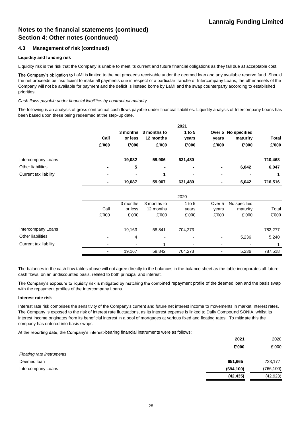### **4.3 Management of risk (continued)**

#### **Liquidity and funding risk**

Liquidity risk is the risk that the Company is unable to meet its current and future financial obligations as they fall due at acceptable cost.

The Company's obligation to LaMI is limited to the net proceeds receivable under the deemed loan and any available reserve fund. Should the net proceeds be insufficient to make all payments due in respect of a particular tranche of Intercompany Loans, the other assets of the Company will not be available for payment and the deficit is instead borne by LaMI and the swap counterparty according to established priorities.

#### *Cash flows payable under financial liabilities by contractual maturity*

The following is an analysis of gross contractual cash flows payable under financial liabilities. Liquidity analysis of Intercompany Loans has been based upon these being redeemed at the step-up date.

**2021**

|                       |                |          |             | <b>ZUZ1</b> |        |                     |         |
|-----------------------|----------------|----------|-------------|-------------|--------|---------------------|---------|
|                       |                | 3 months | 3 months to | $1$ to $5$  |        | Over 5 No specified |         |
|                       | Call           | or less  | 12 months   | years       | years  | maturity            | Total   |
|                       | £'000          | £'000    | £'000       | £'000       | £'000  | £'000               | £'000   |
| Intercompany Loans    | $\blacksquare$ | 19,082   | 59,906      | 631,480     |        |                     | 710,468 |
| Other liabilities     |                | 5        |             |             |        | 6,042               | 6,047   |
| Current tax liability | ٠              |          | 1           |             |        |                     | 1       |
|                       | ۰              | 19,087   | 59,907      | 631,480     |        | 6,042               | 716,516 |
|                       |                |          |             | 2020        |        |                     |         |
|                       |                | 3 months | 3 months to | 1 to $5$    | Over 5 | No specified        |         |
|                       | Call           | or less  | 12 months   | years       | years  | maturity            | Total   |
|                       | £'000          | £'000    | £'000       | £'000       | £'000  | £'000               | £'000   |
| Intercompany Loans    | $\blacksquare$ | 19,163   | 58,841      | 704,273     |        |                     | 782,277 |
| Other liabilities     |                | 4        |             |             |        | 5,236               | 5,240   |
| Current tax liability |                | ٠        |             |             |        |                     |         |
|                       |                | 19,167   | 58,842      | 704,273     |        | 5,236               | 787,518 |

The balances in the cash flow tables above will not agree directly to the balances in the balance sheet as the table incorporates all future cash flows, on an undiscounted basis, related to both principal and interest.

The Company's exposure to liquidity risk is mitigated by matching the combined repayment profile of the deemed loan and the basis swap with the repayment profiles of the Intercompany Loans.

#### **Interest rate risk**

Interest rate risk comprises the sensitivity of the Company's current and future net interest income to movements in market interest rates. The Company is exposed to the risk of interest rate fluctuations, as its interest expense is linked to Daily Compound SONIA, whilst its interest income originates from its beneficial interest in a pool of mortgages at various fixed and floating rates. To mitigate this the company has entered into basis swaps.

At the reporting date, the Company's interest-bearing financial instruments were as follows:

|                           | 2021       | 2020       |
|---------------------------|------------|------------|
|                           | £'000      | £'000      |
| Floating rate instruments |            |            |
| Deemed loan               | 651,665    | 723,177    |
| Intercompany Loans        | (694, 100) | (766, 100) |
|                           | (42, 435)  | (42, 923)  |